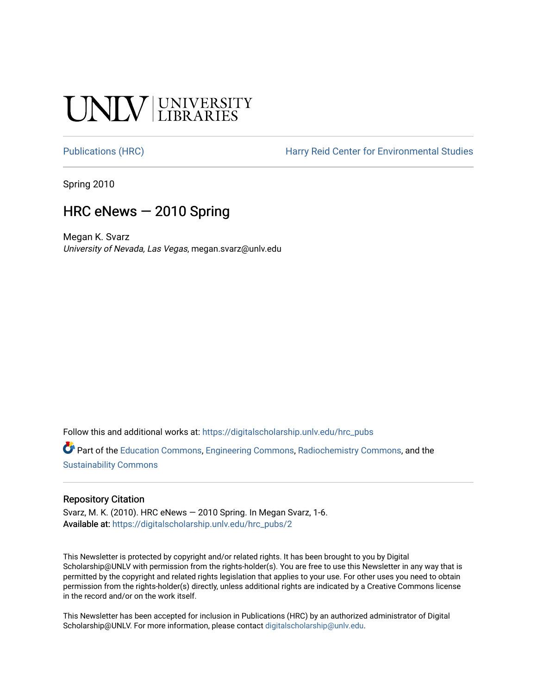# **SALV UNIVERSITY**

[Publications \(HRC\)](https://digitalscholarship.unlv.edu/hrc_pubs) The Harry Reid Center for Environmental Studies

Spring 2010

### HRC eNews — 2010 Spring

Megan K. Svarz University of Nevada, Las Vegas, megan.svarz@unlv.edu

Follow this and additional works at: [https://digitalscholarship.unlv.edu/hrc\\_pubs](https://digitalscholarship.unlv.edu/hrc_pubs?utm_source=digitalscholarship.unlv.edu%2Fhrc_pubs%2F2&utm_medium=PDF&utm_campaign=PDFCoverPages)

Part of the [Education Commons](http://network.bepress.com/hgg/discipline/784?utm_source=digitalscholarship.unlv.edu%2Fhrc_pubs%2F2&utm_medium=PDF&utm_campaign=PDFCoverPages), [Engineering Commons](http://network.bepress.com/hgg/discipline/217?utm_source=digitalscholarship.unlv.edu%2Fhrc_pubs%2F2&utm_medium=PDF&utm_campaign=PDFCoverPages), [Radiochemistry Commons,](http://network.bepress.com/hgg/discipline/1196?utm_source=digitalscholarship.unlv.edu%2Fhrc_pubs%2F2&utm_medium=PDF&utm_campaign=PDFCoverPages) and the [Sustainability Commons](http://network.bepress.com/hgg/discipline/1031?utm_source=digitalscholarship.unlv.edu%2Fhrc_pubs%2F2&utm_medium=PDF&utm_campaign=PDFCoverPages)

#### Repository Citation

Svarz, M. K. (2010). HRC eNews — 2010 Spring. In Megan Svarz, 1-6. Available at: [https://digitalscholarship.unlv.edu/hrc\\_pubs/2](https://digitalscholarship.unlv.edu/hrc_pubs/2)

This Newsletter is protected by copyright and/or related rights. It has been brought to you by Digital Scholarship@UNLV with permission from the rights-holder(s). You are free to use this Newsletter in any way that is permitted by the copyright and related rights legislation that applies to your use. For other uses you need to obtain permission from the rights-holder(s) directly, unless additional rights are indicated by a Creative Commons license in the record and/or on the work itself.

This Newsletter has been accepted for inclusion in Publications (HRC) by an authorized administrator of Digital Scholarship@UNLV. For more information, please contact [digitalscholarship@unlv.edu.](mailto:digitalscholarship@unlv.edu)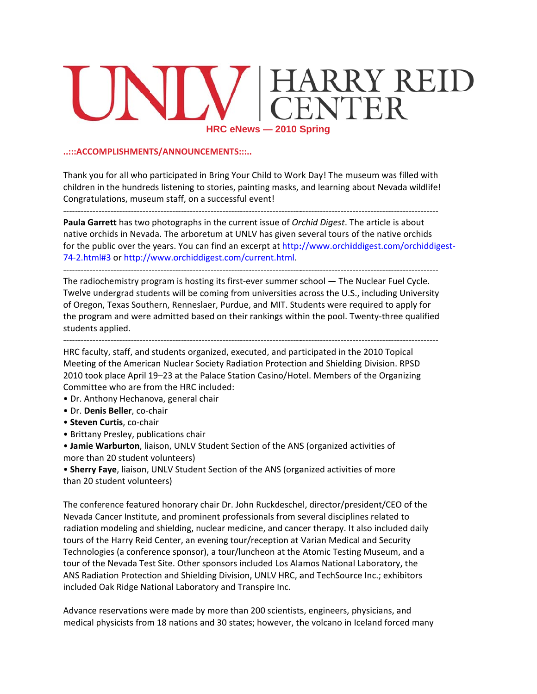## ARRY REID<br>ENTER  $\bm{\Pi}$ **HRC eNew ws — 2010 S Spring**

#### **..:::ACCOM MPLISHMENT TS/ANNOUN CEMENTS:::.. .**

Thank you for all who participated in Bring Your Child to Work Day! The museum was filled with children in the hundreds listening to stories, painting masks, and learning about Nevada wildlife! Congratulations, museum staff, on a successful event!

-------------<br>-‐‐‐‐‐‐‐‐‐‐‐‐‐‐‐‐‐‐ <mark>.................</mark> <mark>.................</mark> <mark>.................</mark> ‐‐‐‐‐‐‐‐‐‐‐‐‐‐‐‐‐‐ <mark>-----------------</mark> ‐‐‐‐‐‐‐‐‐‐‐‐‐

Paula Garrett has two photographs in the current issue of *Orchid Digest*. The article is about native orchids in Nevada. The arboretum at UNLV has given several tours of the native orchids for the public over the years. You can find an excerpt at http://www.orchiddigest.com/orchiddigest-74-2.html#3 or http://www.orchiddigest.com/current.html.

-------------The radiochemistry program is hosting its first-ever summer school — The Nuclear Fuel Cycle. Twelve undergrad students will be coming from universities across the U.S., including University of Oregon, Texas Southern, Renneslaer, Purdue, and MIT. Students were required to apply for the program and were admitted based on their rankings within the pool. Twenty-three qualified students a applied. <mark>.................</mark> <mark>.................</mark> <mark>.................</mark> <mark>.................</mark> ‐‐‐‐‐‐‐‐‐‐‐‐‐‐‐‐‐‐ <mark>-----------------</mark> ‐‐‐‐‐‐‐‐‐‐‐‐‐

-------------<br>. •••••••••••••••••• ‐‐‐‐‐‐‐‐‐‐‐‐‐‐‐‐‐‐ ‐‐‐‐‐‐‐‐‐‐‐‐‐‐‐‐‐‐ ------------------<br>-‐‐‐‐‐‐‐‐‐‐‐‐‐‐‐‐‐‐ -----------------<br>-‐‐‐‐‐‐‐‐‐‐‐‐‐

HRC faculty, staff, and students organized, executed, and participated in the 2010 Topical Meeting of the American Nuclear Society Radiation Protection and Shielding Division. RPSD 2010 took place April 19–23 at the Palace Station Casino/Hotel. Members of the Organizing Committee who are from the HRC included:

- Dr. Anthony Hechanova, general chair
- Dr. **Den is Beller**, co‐c chair
- **Steven C Curtis**, co‐cha air
- Brittany Presley, publications chair
- **Jamie Warburton**, liaison, UNLV Student Section of the ANS (organized activities of more than n 20 student volunteers)
- **Sherry Faye**, liaison, UNLV Student Section of the ANS (organized activities of more than 20 student volunteers)

The conference featured honorary chair Dr. John Ruckdeschel, director/president/CEO of the Nevada Cancer Institute, and prominent professionals from several disciplines related to radiation modeling and shielding, nuclear medicine, and cancer therapy. It also included daily tours of the Harry Reid Center, an evening tour/reception at Varian Medical and Security Technologies (a conference sponsor), a tour/luncheon at the Atomic Testing Museum, and a tour of the Nevada Test Site. Other sponsors included Los Alamos National Laboratory, the ANS Radiation Protection and Shielding Division, UNLV HRC, and TechSource Inc.; exhibitors included Oak Ridge National Laboratory and Transpire Inc.

Advance reservations were made by more than 200 scientists, engineers, physicians, and medical physicists from 18 nations and 30 states; however, the volcano in Iceland forced many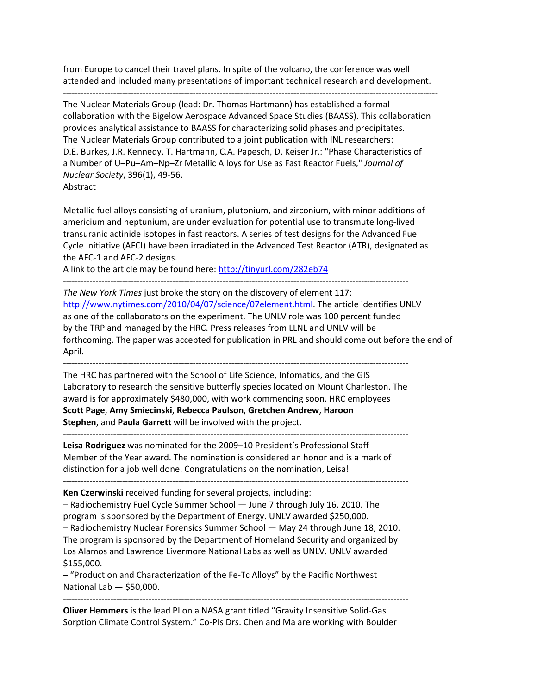from Europe to cancel their travel plans. In spite of the volcano, the conference was well attended and included many presentations of important technical research and development.

‐‐‐‐‐‐‐‐‐‐‐‐‐‐‐‐‐‐‐‐‐‐‐‐‐‐‐‐‐‐‐‐‐‐‐‐‐‐‐‐‐‐‐‐‐‐‐‐‐‐‐‐‐‐‐‐‐‐‐‐‐‐‐‐‐‐‐‐‐‐‐‐‐‐‐‐‐‐‐‐‐‐‐‐‐‐‐‐‐‐‐‐‐‐‐‐‐‐‐‐‐‐‐‐‐‐‐‐‐‐‐‐‐‐‐‐‐‐‐‐‐‐‐‐‐‐‐

The Nuclear Materials Group (lead: Dr. Thomas Hartmann) has established a formal collaboration with the Bigelow Aerospace Advanced Space Studies (BAASS). This collaboration provides analytical assistance to BAASS for characterizing solid phases and precipitates. The Nuclear Materials Group contributed to a joint publication with INL researchers: D.E. Burkes, J.R. Kennedy, T. Hartmann, C.A. Papesch, D. Keiser Jr.: "Phase Characteristics of a Number of U–Pu–Am–Np–Zr Metallic Alloys for Use as Fast Reactor Fuels," *Journal of Nuclear Society*, 396(1), 49‐56. Abstract

Metallic fuel alloys consisting of uranium, plutonium, and zirconium, with minor additions of americium and neptunium, are under evaluation for potential use to transmute long‐lived transuranic actinide isotopes in fast reactors. A series of test designs for the Advanced Fuel Cycle Initiative (AFCI) have been irradiated in the Advanced Test Reactor (ATR), designated as the AFC‐1 and AFC‐2 designs.

A link to the article may be found here: http://tinyurl.com/282eb74

‐‐‐‐‐‐‐‐‐‐‐‐‐‐‐‐‐‐‐‐‐‐‐‐‐‐‐‐‐‐‐‐‐‐‐‐‐‐‐‐‐‐‐‐‐‐‐‐‐‐‐‐‐‐‐‐‐‐‐‐‐‐‐‐‐‐‐‐‐‐‐‐‐‐‐‐‐‐‐‐‐‐‐‐‐‐‐‐‐‐‐‐‐‐‐‐‐‐‐‐‐‐‐‐‐‐‐‐‐‐‐‐‐‐‐‐‐

*The New York Times* just broke the story on the discovery of element 117: http://www.nytimes.com/2010/04/07/science/07element.html. The article identifies UNLV as one of the collaborators on the experiment. The UNLV role was 100 percent funded by the TRP and managed by the HRC. Press releases from LLNL and UNLV will be forthcoming. The paper was accepted for publication in PRL and should come out before the end of April.

‐‐‐‐‐‐‐‐‐‐‐‐‐‐‐‐‐‐‐‐‐‐‐‐‐‐‐‐‐‐‐‐‐‐‐‐‐‐‐‐‐‐‐‐‐‐‐‐‐‐‐‐‐‐‐‐‐‐‐‐‐‐‐‐‐‐‐‐‐‐‐‐‐‐‐‐‐‐‐‐‐‐‐‐‐‐‐‐‐‐‐‐‐‐‐‐‐‐‐‐‐‐‐‐‐‐‐‐‐‐‐‐‐‐‐‐‐

The HRC has partnered with the School of Life Science, Infomatics, and the GIS Laboratory to research the sensitive butterfly species located on Mount Charleston. The award is for approximately \$480,000, with work commencing soon. HRC employees **Scott Page**, **Amy Smiecinski**, **Rebecca Paulson**, **Gretchen Andrew**, **Haroon Stephen**, and **Paula Garrett** will be involved with the project.

**Leisa Rodriguez** was nominated for the 2009–10 President's Professional Staff Member of the Year award. The nomination is considered an honor and is a mark of distinction for a job well done. Congratulations on the nomination, Leisa!

‐‐‐‐‐‐‐‐‐‐‐‐‐‐‐‐‐‐‐‐‐‐‐‐‐‐‐‐‐‐‐‐‐‐‐‐‐‐‐‐‐‐‐‐‐‐‐‐‐‐‐‐‐‐‐‐‐‐‐‐‐‐‐‐‐‐‐‐‐‐‐‐‐‐‐‐‐‐‐‐‐‐‐‐‐‐‐‐‐‐‐‐‐‐‐‐‐‐‐‐‐‐‐‐‐‐‐‐‐‐‐‐‐‐‐‐‐

**Ken Czerwinski** received funding for several projects, including:

– Radiochemistry Fuel Cycle Summer School — June 7 through July 16, 2010. The program is sponsored by the Department of Energy. UNLV awarded \$250,000.

– Radiochemistry Nuclear Forensics Summer School — May 24 through June 18, 2010. The program is sponsored by the Department of Homeland Security and organized by Los Alamos and Lawrence Livermore National Labs as well as UNLV. UNLV awarded \$155,000.

– "Production and Characterization of the Fe‐Tc Alloys" by the Pacific Northwest National Lab — \$50,000.

**Oliver Hemmers** is the lead PI on a NASA grant titled "Gravity Insensitive Solid‐Gas Sorption Climate Control System." Co‐PIs Drs. Chen and Ma are working with Boulder

‐‐‐‐‐‐‐‐‐‐‐‐‐‐‐‐‐‐‐‐‐‐‐‐‐‐‐‐‐‐‐‐‐‐‐‐‐‐‐‐‐‐‐‐‐‐‐‐‐‐‐‐‐‐‐‐‐‐‐‐‐‐‐‐‐‐‐‐‐‐‐‐‐‐‐‐‐‐‐‐‐‐‐‐‐‐‐‐‐‐‐‐‐‐‐‐‐‐‐‐‐‐‐‐‐‐‐‐‐‐‐‐‐‐‐‐‐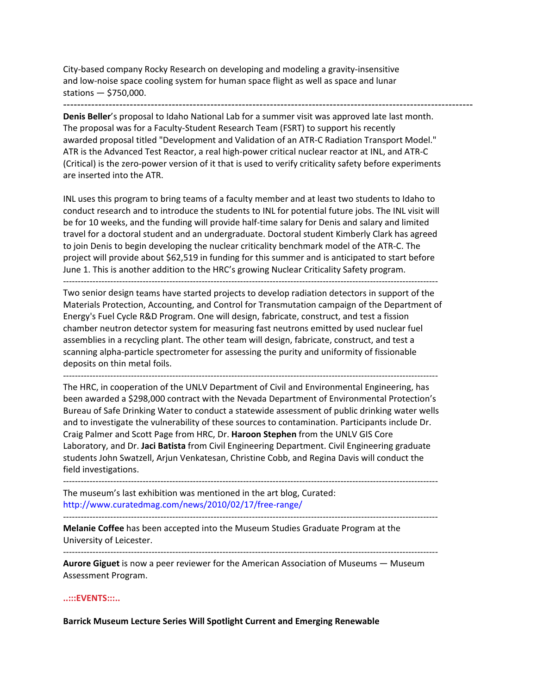City‐based company Rocky Research on developing and modeling a gravity‐insensitive and low‐noise space cooling system for human space flight as well as space and lunar stations — \$750,000.

---------------------------------------------------------------------------------------------------------------------

**Denis Beller**'s proposal to Idaho National Lab for a summer visit was approved late last month. The proposal was for a Faculty‐Student Research Team (FSRT) to support his recently awarded proposal titled "Development and Validation of an ATR‐C Radiation Transport Model." ATR is the Advanced Test Reactor, a real high‐power critical nuclear reactor at INL, and ATR‐C (Critical) is the zero‐power version of it that is used to verify criticality safety before experiments are inserted into the ATR.

INL uses this program to bring teams of a faculty member and at least two students to Idaho to conduct research and to introduce the students to INL for potential future jobs. The INL visit will be for 10 weeks, and the funding will provide half-time salary for Denis and salary and limited travel for a doctoral student and an undergraduate. Doctoral student Kimberly Clark has agreed to join Denis to begin developing the nuclear criticality benchmark model of the ATR‐C. The project will provide about \$62,519 in funding for this summer and is anticipated to start before June 1. This is another addition to the HRC's growing Nuclear Criticality Safety program.

‐‐‐‐‐‐‐‐‐‐‐‐‐‐‐‐‐‐‐‐‐‐‐‐‐‐‐‐‐‐‐‐‐‐‐‐‐‐‐‐‐‐‐‐‐‐‐‐‐‐‐‐‐‐‐‐‐‐‐‐‐‐‐‐‐‐‐‐‐‐‐‐‐‐‐‐‐‐‐‐‐‐‐‐‐‐‐‐‐‐‐‐‐‐‐‐‐‐‐‐‐‐‐‐‐‐‐‐‐‐‐‐‐‐‐‐‐‐‐‐‐‐‐‐‐‐‐

Two senior design teams have started projects to develop radiation detectors in support of the Materials Protection, Accounting, and Control for Transmutation campaign of the Department of Energy's Fuel Cycle R&D Program. One will design, fabricate, construct, and test a fission chamber neutron detector system for measuring fast neutrons emitted by used nuclear fuel assemblies in a recycling plant. The other team will design, fabricate, construct, and test a scanning alpha‐particle spectrometer for assessing the purity and uniformity of fissionable deposits on thin metal foils.

‐‐‐‐‐‐‐‐‐‐‐‐‐‐‐‐‐‐‐‐‐‐‐‐‐‐‐‐‐‐‐‐‐‐‐‐‐‐‐‐‐‐‐‐‐‐‐‐‐‐‐‐‐‐‐‐‐‐‐‐‐‐‐‐‐‐‐‐‐‐‐‐‐‐‐‐‐‐‐‐‐‐‐‐‐‐‐‐‐‐‐‐‐‐‐‐‐‐‐‐‐‐‐‐‐‐‐‐‐‐‐‐‐‐‐‐‐‐‐‐‐‐‐‐‐‐‐ The HRC, in cooperation of the UNLV Department of Civil and Environmental Engineering, has been awarded a \$298,000 contract with the Nevada Department of Environmental Protection's Bureau of Safe Drinking Water to conduct a statewide assessment of public drinking water wells and to investigate the vulnerability of these sources to contamination. Participants include Dr. Craig Palmer and Scott Page from HRC, Dr. **Haroon Stephen** from the UNLV GIS Core Laboratory, and Dr. **Jaci Batista** from Civil Engineering Department. Civil Engineering graduate students John Swatzell, Arjun Venkatesan, Christine Cobb, and Regina Davis will conduct the field investigations.

‐‐‐‐‐‐‐‐‐‐‐‐‐‐‐‐‐‐‐‐‐‐‐‐‐‐‐‐‐‐‐‐‐‐‐‐‐‐‐‐‐‐‐‐‐‐‐‐‐‐‐‐‐‐‐‐‐‐‐‐‐‐‐‐‐‐‐‐‐‐‐‐‐‐‐‐‐‐‐‐‐‐‐‐‐‐‐‐‐‐‐‐‐‐‐‐‐‐‐‐‐‐‐‐‐‐‐‐‐‐‐‐‐‐‐‐‐‐‐‐‐‐‐‐‐‐‐ The museum's last exhibition was mentioned in the art blog, Curated: http://www.curatedmag.com/news/2010/02/17/free‐range/

**Melanie Coffee** has been accepted into the Museum Studies Graduate Program at the University of Leicester.

‐‐‐‐‐‐‐‐‐‐‐‐‐‐‐‐‐‐‐‐‐‐‐‐‐‐‐‐‐‐‐‐‐‐‐‐‐‐‐‐‐‐‐‐‐‐‐‐‐‐‐‐‐‐‐‐‐‐‐‐‐‐‐‐‐‐‐‐‐‐‐‐‐‐‐‐‐‐‐‐‐‐‐‐‐‐‐‐‐‐‐‐‐‐‐‐‐‐‐‐‐‐‐‐‐‐‐‐‐‐‐‐‐‐‐‐‐‐‐‐‐‐‐‐‐‐‐

‐‐‐‐‐‐‐‐‐‐‐‐‐‐‐‐‐‐‐‐‐‐‐‐‐‐‐‐‐‐‐‐‐‐‐‐‐‐‐‐‐‐‐‐‐‐‐‐‐‐‐‐‐‐‐‐‐‐‐‐‐‐‐‐‐‐‐‐‐‐‐‐‐‐‐‐‐‐‐‐‐‐‐‐‐‐‐‐‐‐‐‐‐‐‐‐‐‐‐‐‐‐‐‐‐‐‐‐‐‐‐‐‐‐‐‐‐‐‐‐‐‐‐‐‐‐‐

**Aurore Giguet** is now a peer reviewer for the American Association of Museums — Museum Assessment Program.

#### **..:::EVENTS:::..**

**Barrick Museum Lecture Series Will Spotlight Current and Emerging Renewable**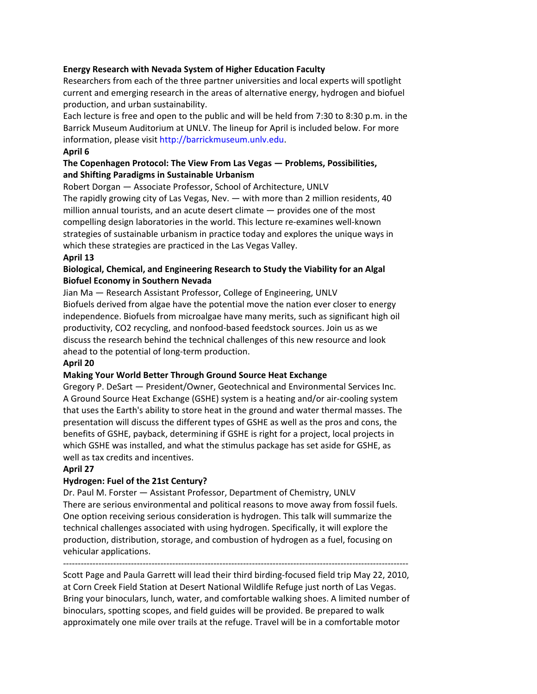#### **Energy Research with Nevada System of Higher Education Faculty**

Researchers from each of the three partner universities and local experts will spotlight current and emerging research in the areas of alternative energy, hydrogen and biofuel production, and urban sustainability.

Each lecture is free and open to the public and will be held from 7:30 to 8:30 p.m. in the Barrick Museum Auditorium at UNLV. The lineup for April is included below. For more information, please visit http://barrickmuseum.unlv.edu.

#### **April 6**

#### **The Copenhagen Protocol: The View From Las Vegas — Problems, Possibilities, and Shifting Paradigms in Sustainable Urbanism**

Robert Dorgan — Associate Professor, School of Architecture, UNLV The rapidly growing city of Las Vegas, Nev. — with more than 2 million residents, 40 million annual tourists, and an acute desert climate — provides one of the most compelling design laboratories in the world. This lecture re‐examines well‐known strategies of sustainable urbanism in practice today and explores the unique ways in which these strategies are practiced in the Las Vegas Valley.

#### **April 13**

#### **Biological, Chemical, and Engineering Research to Study the Viability for an Algal Biofuel Economy in Southern Nevada**

Jian Ma — Research Assistant Professor, College of Engineering, UNLV Biofuels derived from algae have the potential move the nation ever closer to energy independence. Biofuels from microalgae have many merits, such as significant high oil productivity, CO2 recycling, and nonfood‐based feedstock sources. Join us as we discuss the research behind the technical challenges of this new resource and look ahead to the potential of long‐term production.

#### **April 20**

#### **Making Your World Better Through Ground Source Heat Exchange**

Gregory P. DeSart — President/Owner, Geotechnical and Environmental Services Inc. A Ground Source Heat Exchange (GSHE) system is a heating and/or air‐cooling system that uses the Earth's ability to store heat in the ground and water thermal masses. The presentation will discuss the different types of GSHE as well as the pros and cons, the benefits of GSHE, payback, determining if GSHE is right for a project, local projects in which GSHE was installed, and what the stimulus package has set aside for GSHE, as well as tax credits and incentives.

#### **April 27**

#### **Hydrogen: Fuel of the 21st Century?**

Dr. Paul M. Forster — Assistant Professor, Department of Chemistry, UNLV There are serious environmental and political reasons to move away from fossil fuels. One option receiving serious consideration is hydrogen. This talk will summarize the technical challenges associated with using hydrogen. Specifically, it will explore the production, distribution, storage, and combustion of hydrogen as a fuel, focusing on vehicular applications.

‐‐‐‐‐‐‐‐‐‐‐‐‐‐‐‐‐‐‐‐‐‐‐‐‐‐‐‐‐‐‐‐‐‐‐‐‐‐‐‐‐‐‐‐‐‐‐‐‐‐‐‐‐‐‐‐‐‐‐‐‐‐‐‐‐‐‐‐‐‐‐‐‐‐‐‐‐‐‐‐‐‐‐‐‐‐‐‐‐‐‐‐‐‐‐‐‐‐‐‐‐‐‐‐‐‐‐‐‐‐‐‐‐‐‐‐‐ Scott Page and Paula Garrett will lead their third birding‐focused field trip May 22, 2010, at Corn Creek Field Station at Desert National Wildlife Refuge just north of Las Vegas. Bring your binoculars, lunch, water, and comfortable walking shoes. A limited number of binoculars, spotting scopes, and field guides will be provided. Be prepared to walk approximately one mile over trails at the refuge. Travel will be in a comfortable motor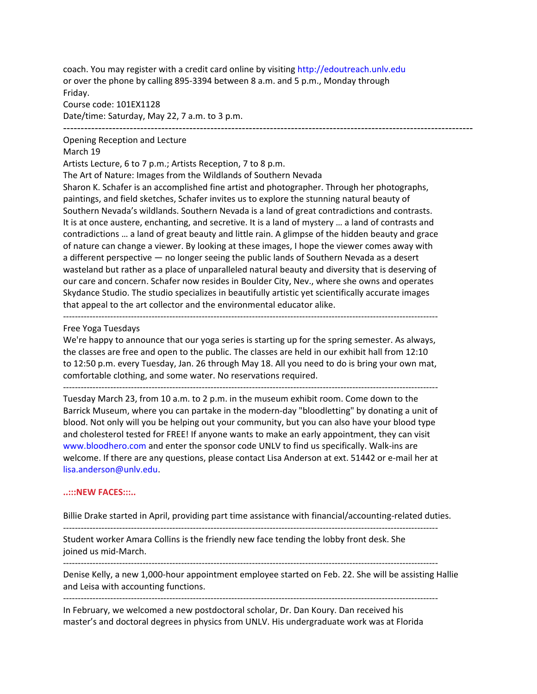coach. You may register with a credit card online by visiting http://edoutreach.unlv.edu or over the phone by calling 895‐3394 between 8 a.m. and 5 p.m., Monday through Friday.

Course code: 101EX1128 Date/time: Saturday, May 22, 7 a.m. to 3 p.m. ---------------------------------------------------------------------------------------------------------------------

#### Opening Reception and Lecture

#### March 19

Artists Lecture, 6 to 7 p.m.; Artists Reception, 7 to 8 p.m.

The Art of Nature: Images from the Wildlands of Southern Nevada

Sharon K. Schafer is an accomplished fine artist and photographer. Through her photographs, paintings, and field sketches, Schafer invites us to explore the stunning natural beauty of Southern Nevada's wildlands. Southern Nevada is a land of great contradictions and contrasts. It is at once austere, enchanting, and secretive. It is a land of mystery … a land of contrasts and contradictions … a land of great beauty and little rain. A glimpse of the hidden beauty and grace of nature can change a viewer. By looking at these images, I hope the viewer comes away with a different perspective — no longer seeing the public lands of Southern Nevada as a desert wasteland but rather as a place of unparalleled natural beauty and diversity that is deserving of our care and concern. Schafer now resides in Boulder City, Nev., where she owns and operates Skydance Studio. The studio specializes in beautifully artistic yet scientifically accurate images that appeal to the art collector and the environmental educator alike.

#### Free Yoga Tuesdays

We're happy to announce that our yoga series is starting up for the spring semester. As always, the classes are free and open to the public. The classes are held in our exhibit hall from 12:10 to 12:50 p.m. every Tuesday, Jan. 26 through May 18. All you need to do is bring your own mat, comfortable clothing, and some water. No reservations required.

‐‐‐‐‐‐‐‐‐‐‐‐‐‐‐‐‐‐‐‐‐‐‐‐‐‐‐‐‐‐‐‐‐‐‐‐‐‐‐‐‐‐‐‐‐‐‐‐‐‐‐‐‐‐‐‐‐‐‐‐‐‐‐‐‐‐‐‐‐‐‐‐‐‐‐‐‐‐‐‐‐‐‐‐‐‐‐‐‐‐‐‐‐‐‐‐‐‐‐‐‐‐‐‐‐‐‐‐‐‐‐‐‐‐‐‐‐‐‐‐‐‐‐‐‐‐‐

Tuesday March 23, from 10 a.m. to 2 p.m. in the museum exhibit room. Come down to the Barrick Museum, where you can partake in the modern-day "bloodletting" by donating a unit of blood. Not only will you be helping out your community, but you can also have your blood type and cholesterol tested for FREE! If anyone wants to make an early appointment, they can visit www.bloodhero.com and enter the sponsor code UNLV to find us specifically. Walk‐ins are welcome. If there are any questions, please contact Lisa Anderson at ext. 51442 or e-mail her at lisa.anderson@unlv.edu.

#### **..:::NEW FACES:::..**

Billie Drake started in April, providing part time assistance with financial/accounting-related duties.

‐‐‐‐‐‐‐‐‐‐‐‐‐‐‐‐‐‐‐‐‐‐‐‐‐‐‐‐‐‐‐‐‐‐‐‐‐‐‐‐‐‐‐‐‐‐‐‐‐‐‐‐‐‐‐‐‐‐‐‐‐‐‐‐‐‐‐‐‐‐‐‐‐‐‐‐‐‐‐‐‐‐‐‐‐‐‐‐‐‐‐‐‐‐‐‐‐‐‐‐‐‐‐‐‐‐‐‐‐‐‐‐‐‐‐‐‐‐‐‐‐‐‐‐‐‐‐

Student worker Amara Collins is the friendly new face tending the lobby front desk. She joined us mid‐March.

Denise Kelly, a new 1,000‐hour appointment employee started on Feb. 22. She will be assisting Hallie and Leisa with accounting functions.

‐‐‐‐‐‐‐‐‐‐‐‐‐‐‐‐‐‐‐‐‐‐‐‐‐‐‐‐‐‐‐‐‐‐‐‐‐‐‐‐‐‐‐‐‐‐‐‐‐‐‐‐‐‐‐‐‐‐‐‐‐‐‐‐‐‐‐‐‐‐‐‐‐‐‐‐‐‐‐‐‐‐‐‐‐‐‐‐‐‐‐‐‐‐‐‐‐‐‐‐‐‐‐‐‐‐‐‐‐‐‐‐‐‐‐‐‐‐‐‐‐‐‐‐‐‐‐

‐‐‐‐‐‐‐‐‐‐‐‐‐‐‐‐‐‐‐‐‐‐‐‐‐‐‐‐‐‐‐‐‐‐‐‐‐‐‐‐‐‐‐‐‐‐‐‐‐‐‐‐‐‐‐‐‐‐‐‐‐‐‐‐‐‐‐‐‐‐‐‐‐‐‐‐‐‐‐‐‐‐‐‐‐‐‐‐‐‐‐‐‐‐‐‐‐‐‐‐‐‐‐‐‐‐‐‐‐‐‐‐‐‐‐‐‐‐‐‐‐‐‐‐‐‐‐

In February, we welcomed a new postdoctoral scholar, Dr. Dan Koury. Dan received his master's and doctoral degrees in physics from UNLV. His undergraduate work was at Florida